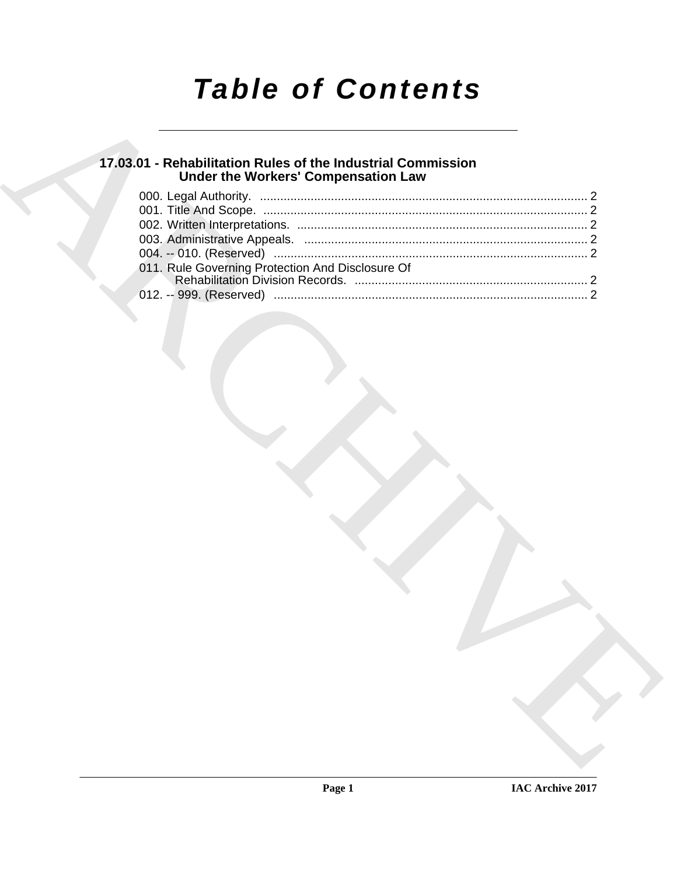# *Table of Contents*

### **17.03.01 - Rehabilitation Rules of the Industrial Commission Under the Workers' Compensation Law**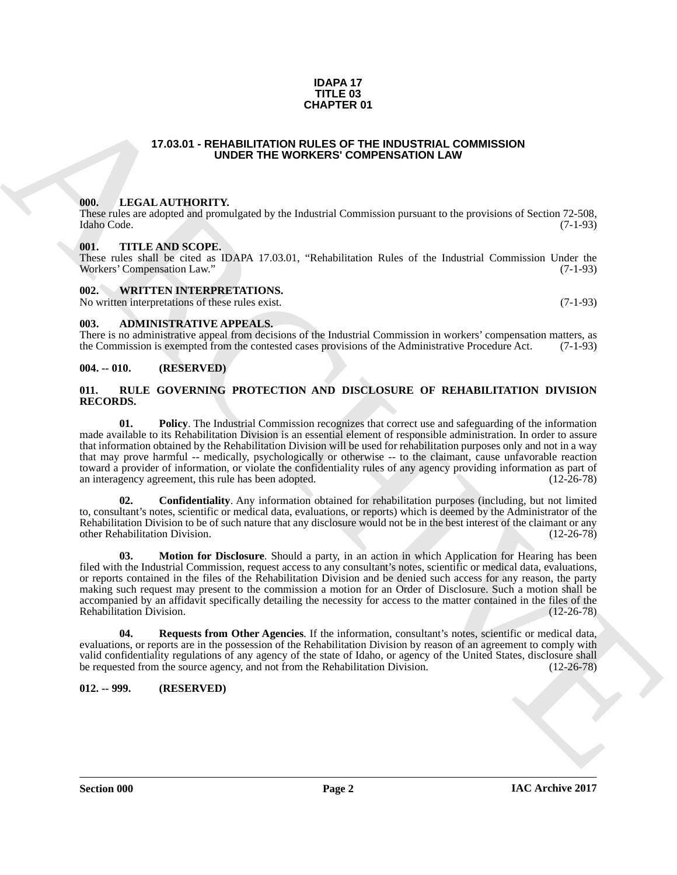#### **IDAPA 17 TITLE 03 CHAPTER 01**

#### **17.03.01 - REHABILITATION RULES OF THE INDUSTRIAL COMMISSION UNDER THE WORKERS' COMPENSATION LAW**

#### <span id="page-1-1"></span><span id="page-1-0"></span>**000. LEGAL AUTHORITY.**

These rules are adopted and promulgated by the Industrial Commission pursuant to the provisions of Section 72-508, Idaho Code. (7-1-93) Idaho Code. (7-1-93)

#### <span id="page-1-2"></span>**001. TITLE AND SCOPE.**

These rules shall be cited as IDAPA 17.03.01, "Rehabilitation Rules of the Industrial Commission Under the Workers' Compensation Law."

#### <span id="page-1-3"></span>**002. WRITTEN INTERPRETATIONS.**

No written interpretations of these rules exist. (7-1-93)

#### <span id="page-1-4"></span>**003. ADMINISTRATIVE APPEALS.**

There is no administrative appeal from decisions of the Industrial Commission in workers' compensation matters, as the Commission is exempted from the contested cases provisions of the Administrative Procedure Act. (7-1-93)

#### <span id="page-1-5"></span>**004. -- 010. (RESERVED)**

#### <span id="page-1-8"></span><span id="page-1-6"></span>**011. RULE GOVERNING PROTECTION AND DISCLOSURE OF REHABILITATION DIVISION RECORDS.**

<span id="page-1-11"></span>**01. Policy**. The Industrial Commission recognizes that correct use and safeguarding of the information made available to its Rehabilitation Division is an essential element of responsible administration. In order to assure that information obtained by the Rehabilitation Division will be used for rehabilitation purposes only and not in a way that may prove harmful -- medically, psychologically or otherwise -- to the claimant, cause unfavorable reaction toward a provider of information, or violate the confidentiality rules of any agency providing information as part of an interagency agreement, this rule has been adopted. (12-26-78) an interagency agreement, this rule has been adopted.

<span id="page-1-10"></span><span id="page-1-9"></span>**02. Confidentiality**. Any information obtained for rehabilitation purposes (including, but not limited to, consultant's notes, scientific or medical data, evaluations, or reports) which is deemed by the Administrator of the Rehabilitation Division to be of such nature that any disclosure would not be in the best interest of the claimant or any other Rehabilitation Division. (12-26-78) other Rehabilitation Division.

**CHAPTER OF**<br> **CHARCHIVE CONFIRM CONTROL COMMISSION**<br> **CHARCHIVE CONFIRM CONFIRM CONFIRM CONTROL CONTROL CONTROL CONTROL CONTROL CONTROL CONTROL CONTROL CONTROL CONTROL CONTROL CONTROL CONTROL CONTROL CONTROL CONTROL CONT 03. Motion for Disclosure**. Should a party, in an action in which Application for Hearing has been filed with the Industrial Commission, request access to any consultant's notes, scientific or medical data, evaluations, or reports contained in the files of the Rehabilitation Division and be denied such access for any reason, the party making such request may present to the commission a motion for an Order of Disclosure. Such a motion shall be accompanied by an affidavit specifically detailing the necessity for access to the matter contained in the files of the Rehabilitation Division. (12-26-78)

<span id="page-1-12"></span>**04. Requests from Other Agencies**. If the information, consultant's notes, scientific or medical data, evaluations, or reports are in the possession of the Rehabilitation Division by reason of an agreement to comply with valid confidentiality regulations of any agency of the state of Idaho, or agency of the United States, disclosure shall<br>be requested from the source agency, and not from the Rehabilitation Division. (12-26-78) be requested from the source agency, and not from the Rehabilitation Division.

#### <span id="page-1-7"></span>**012. -- 999. (RESERVED)**